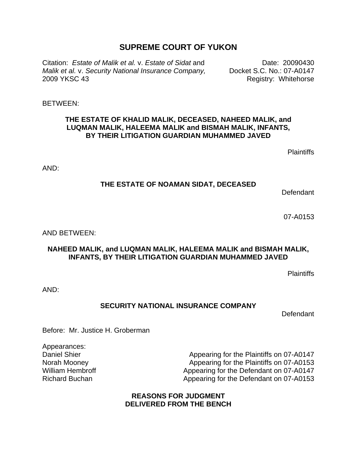# **SUPREME COURT OF YUKON**

Citation: *Estate of Malik et al.* v. *Estate of Sidat* and Date: 20090430 *Malik et al.* v. *Security National Insurance Company,* 2009 YKSC 43

Docket S.C. No.: 07-A0147 Registry: Whitehorse

BETWEEN:

### **THE ESTATE OF KHALID MALIK, DECEASED, NAHEED MALIK, and LUQMAN MALIK, HALEEMA MALIK and BISMAH MALIK, INFANTS, BY THEIR LITIGATION GUARDIAN MUHAMMED JAVED**

**Plaintiffs** 

AND:

#### **THE ESTATE OF NOAMAN SIDAT, DECEASED**

Defendant

07-A0153

AND BETWEEN:

### **NAHEED MALIK, and LUQMAN MALIK, HALEEMA MALIK and BISMAH MALIK, INFANTS, BY THEIR LITIGATION GUARDIAN MUHAMMED JAVED**

**Plaintiffs** 

AND:

## **SECURITY NATIONAL INSURANCE COMPANY**

**Defendant** 

Before: Mr. Justice H. Groberman

Appearances: Daniel Shier Norah Mooney William Hembroff Richard Buchan

Appearing for the Plaintiffs on 07-A0147 Appearing for the Plaintiffs on 07-A0153 Appearing for the Defendant on 07-A0147 Appearing for the Defendant on 07-A0153

### **REASONS FOR JUDGMENT DELIVERED FROM THE BENCH**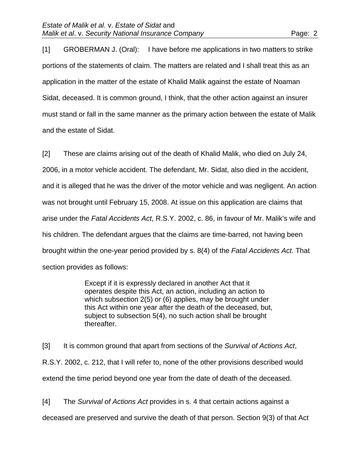[1] GROBERMAN J. (Oral): I have before me applications in two matters to strike portions of the statements of claim. The matters are related and I shall treat this as an application in the matter of the estate of Khalid Malik against the estate of Noaman Sidat, deceased. It is common ground, I think, that the other action against an insurer must stand or fall in the same manner as the primary action between the estate of Malik and the estate of Sidat.

[2] These are claims arising out of the death of Khalid Malik, who died on July 24, 2006, in a motor vehicle accident. The defendant, Mr. Sidat, also died in the accident, and it is alleged that he was the driver of the motor vehicle and was negligent. An action was not brought until February 15, 2008. At issue on this application are claims that arise under the *Fatal Accidents Act*, R.S.Y. 2002, c. 86, in favour of Mr. Malik's wife and his children. The defendant argues that the claims are time-barred, not having been brought within the one-year period provided by s. 8(4) of the *Fatal Accidents Act*. That section provides as follows:

> Except if it is expressly declared in another Act that it operates despite this Act, an action, including an action to which subsection 2(5) or (6) applies, may be brought under this Act within one year after the death of the deceased, but, subject to subsection 5(4), no such action shall be brought thereafter.

[3] It is common ground that apart from sections of the *Survival of Actions Act*, R.S.Y. 2002, c. 212, that I will refer to, none of the other provisions described would extend the time period beyond one year from the date of death of the deceased.

[4] The *Survival of Actions Act* provides in s. 4 that certain actions against a deceased are preserved and survive the death of that person. Section 9(3) of that Act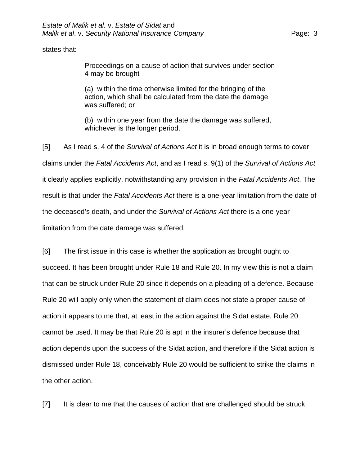states that:

Proceedings on a cause of action that survives under section 4 may be brought

(a) within the time otherwise limited for the bringing of the action, which shall be calculated from the date the damage was suffered; or

(b) within one year from the date the damage was suffered, whichever is the longer period.

[5] As I read s. 4 of the *Survival of Actions Act* it is in broad enough terms to cover claims under the *Fatal Accidents Act*, and as I read s. 9(1) of the *Survival of Actions Act* it clearly applies explicitly, notwithstanding any provision in the *Fatal Accidents Act*. The result is that under the *Fatal Accidents Act* there is a one-year limitation from the date of the deceased's death, and under the *Survival of Actions Act* there is a one-year limitation from the date damage was suffered.

[6] The first issue in this case is whether the application as brought ought to succeed. It has been brought under Rule 18 and Rule 20. In my view this is not a claim that can be struck under Rule 20 since it depends on a pleading of a defence. Because Rule 20 will apply only when the statement of claim does not state a proper cause of action it appears to me that, at least in the action against the Sidat estate, Rule 20 cannot be used. It may be that Rule 20 is apt in the insurer's defence because that action depends upon the success of the Sidat action, and therefore if the Sidat action is dismissed under Rule 18, conceivably Rule 20 would be sufficient to strike the claims in the other action.

[7] It is clear to me that the causes of action that are challenged should be struck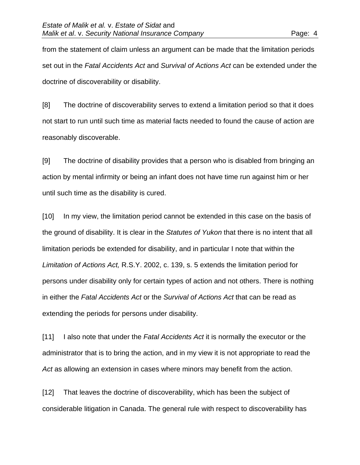from the statement of claim unless an argument can be made that the limitation periods set out in the *Fatal Accidents Act* and *Survival of Actions Act* can be extended under the doctrine of discoverability or disability.

[8] The doctrine of discoverability serves to extend a limitation period so that it does not start to run until such time as material facts needed to found the cause of action are reasonably discoverable.

[9] The doctrine of disability provides that a person who is disabled from bringing an action by mental infirmity or being an infant does not have time run against him or her until such time as the disability is cured.

[10] In my view, the limitation period cannot be extended in this case on the basis of the ground of disability. It is clear in the *Statutes of Yukon* that there is no intent that all limitation periods be extended for disability, and in particular I note that within the *Limitation of Actions Act,* R.S.Y. 2002, c. 139, s. 5 extends the limitation period for persons under disability only for certain types of action and not others. There is nothing in either the *Fatal Accidents Act* or the *Survival of Actions Act* that can be read as extending the periods for persons under disability.

[11] I also note that under the *Fatal Accidents Act* it is normally the executor or the administrator that is to bring the action, and in my view it is not appropriate to read the *Act* as allowing an extension in cases where minors may benefit from the action.

[12] That leaves the doctrine of discoverability, which has been the subject of considerable litigation in Canada. The general rule with respect to discoverability has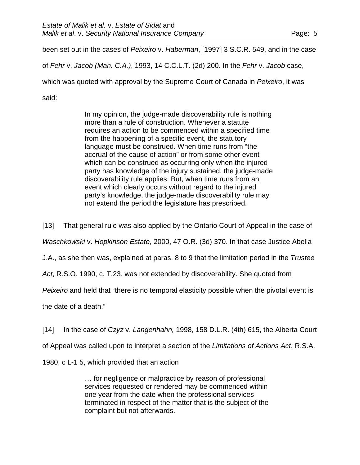been set out in the cases of *Peixeiro* v. *Haberman*, [1997] 3 S.C.R. 549, and in the case

of *Fehr* v. *Jacob (Man. C.A.)*, 1993, 14 C.C.L.T. (2d) 200. In the *Fehr* v. *Jacob* case,

which was quoted with approval by the Supreme Court of Canada in *Peixeiro*, it was

said:

In my opinion, the judge-made discoverability rule is nothing more than a rule of construction. Whenever a statute requires an action to be commenced within a specified time from the happening of a specific event, the statutory language must be construed. When time runs from "the accrual of the cause of action" or from some other event which can be construed as occurring only when the injured party has knowledge of the injury sustained, the judge-made discoverability rule applies. But, when time runs from an event which clearly occurs without regard to the injured party's knowledge, the judge-made discoverability rule may not extend the period the legislature has prescribed.

[13] That general rule was also applied by the Ontario Court of Appeal in the case of

*Waschkowski* v. *Hopkinson Estate*, 2000, 47 O.R. (3d) 370. In that case Justice Abella

J.A., as she then was, explained at paras. 8 to 9 that the limitation period in the *Trustee* 

*Act*, R.S.O. 1990, c. T.23, was not extended by discoverability. She quoted from

*Peixeiro* and held that "there is no temporal elasticity possible when the pivotal event is

the date of a death."

[14] In the case of *Czyz* v. *Langenhahn,* 1998, 158 D.L.R. (4th) 615, the Alberta Court

of Appeal was called upon to interpret a section of the *Limitations of Actions Act*, R.S.A.

1980, c L-1 5, which provided that an action

… for negligence or malpractice by reason of professional services requested or rendered may be commenced within one year from the date when the professional services terminated in respect of the matter that is the subject of the complaint but not afterwards.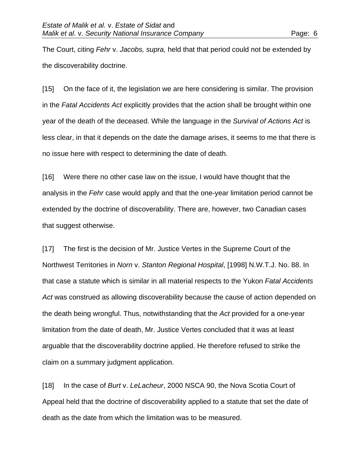The Court, citing *Fehr* v. *Jacobs, supra,* held that that period could not be extended by the discoverability doctrine.

[15] On the face of it, the legislation we are here considering is similar. The provision in the *Fatal Accidents Act* explicitly provides that the action shall be brought within one year of the death of the deceased. While the language in the *Survival of Actions Act* is less clear, in that it depends on the date the damage arises, it seems to me that there is no issue here with respect to determining the date of death.

[16] Were there no other case law on the issue, I would have thought that the analysis in the *Fehr* case would apply and that the one-year limitation period cannot be extended by the doctrine of discoverability. There are, however, two Canadian cases that suggest otherwise.

[17] The first is the decision of Mr. Justice Vertes in the Supreme Court of the Northwest Territories in *Norn* v. *Stanton Regional Hospital*, [1998] N.W.T.J. No. 88. In that case a statute which is similar in all material respects to the Yukon *Fatal Accidents Act* was construed as allowing discoverability because the cause of action depended on the death being wrongful. Thus, notwithstanding that the *Act* provided for a one-year limitation from the date of death, Mr. Justice Vertes concluded that it was at least arguable that the discoverability doctrine applied. He therefore refused to strike the claim on a summary judgment application.

[18] In the case of *Burt* v. *LeLacheur*, 2000 NSCA 90, the Nova Scotia Court of Appeal held that the doctrine of discoverability applied to a statute that set the date of death as the date from which the limitation was to be measured.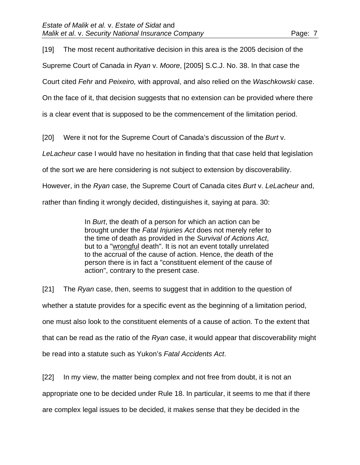[19] The most recent authoritative decision in this area is the 2005 decision of the Supreme Court of Canada in *Ryan* v. *Moore*, [2005] S.C.J. No. 38. In that case the Court cited *Fehr* and *Peixeiro,* with approval, and also relied on the *Waschkowski* case. On the face of it, that decision suggests that no extension can be provided where there is a clear event that is supposed to be the commencement of the limitation period.

[20] Were it not for the Supreme Court of Canada's discussion of the *Burt* v.

*LeLacheur* case I would have no hesitation in finding that that case held that legislation

of the sort we are here considering is not subject to extension by discoverability.

However, in the *Ryan* case, the Supreme Court of Canada cites *Burt* v. *LeLacheur* and,

rather than finding it wrongly decided, distinguishes it, saying at para. 30:

In *Burt*, the death of a person for which an action can be brought under the *Fatal Injuries Act* does not merely refer to the time of death as provided in the *Survival of Actions Act*, but to a "wrongful death". It is not an event totally unrelated to the accrual of the cause of action. Hence, the death of the person there is in fact a "constituent element of the cause of action", contrary to the present case.

[21] The *Ryan* case, then, seems to suggest that in addition to the question of whether a statute provides for a specific event as the beginning of a limitation period, one must also look to the constituent elements of a cause of action. To the extent that that can be read as the ratio of the *Ryan* case, it would appear that discoverability might be read into a statute such as Yukon's *Fatal Accidents Act*.

[22] In my view, the matter being complex and not free from doubt, it is not an appropriate one to be decided under Rule 18. In particular, it seems to me that if there are complex legal issues to be decided, it makes sense that they be decided in the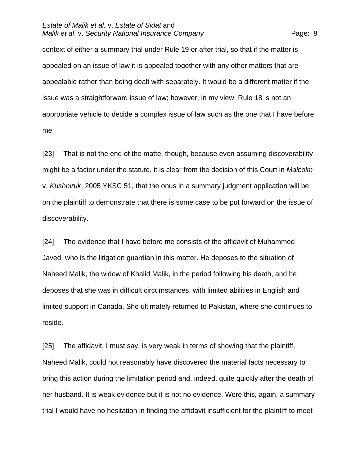context of either a summary trial under Rule 19 or after trial, so that if the matter is appealed on an issue of law it is appealed together with any other matters that are appealable rather than being dealt with separately. It would be a different matter if the issue was a straightforward issue of law; however, in my view, Rule 18 is not an appropriate vehicle to decide a complex issue of law such as the one that I have before me.

[23] That is not the end of the matte, though, because even assuming discoverability might be a factor under the statute, it is clear from the decision of this Court in *Malcolm* v. *Kushniruk*, 2005 YKSC 51, that the onus in a summary judgment application will be on the plaintiff to demonstrate that there is some case to be put forward on the issue of discoverability.

[24] The evidence that I have before me consists of the affidavit of Muhammed Javed, who is the litigation guardian in this matter. He deposes to the situation of Naheed Malik, the widow of Khalid Malik, in the period following his death, and he deposes that she was in difficult circumstances, with limited abilities in English and limited support in Canada. She ultimately returned to Pakistan, where she continues to reside.

[25] The affidavit, I must say, is very weak in terms of showing that the plaintiff, Naheed Malik, could not reasonably have discovered the material facts necessary to bring this action during the limitation period and, indeed, quite quickly after the death of her husband. It is weak evidence but it is not no evidence. Were this, again, a summary trial I would have no hesitation in finding the affidavit insufficient for the plaintiff to meet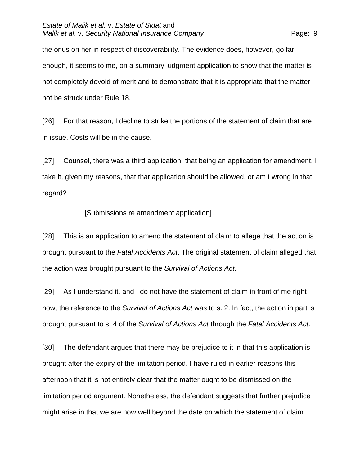the onus on her in respect of discoverability. The evidence does, however, go far enough, it seems to me, on a summary judgment application to show that the matter is not completely devoid of merit and to demonstrate that it is appropriate that the matter not be struck under Rule 18.

[26] For that reason, I decline to strike the portions of the statement of claim that are in issue. Costs will be in the cause.

[27] Counsel, there was a third application, that being an application for amendment. I take it, given my reasons, that that application should be allowed, or am I wrong in that regard?

#### [Submissions re amendment application]

[28] This is an application to amend the statement of claim to allege that the action is brought pursuant to the *Fatal Accidents Act*. The original statement of claim alleged that the action was brought pursuant to the *Survival of Actions Act*.

[29] As I understand it, and I do not have the statement of claim in front of me right now, the reference to the *Survival of Actions Act* was to s. 2. In fact, the action in part is brought pursuant to s. 4 of the *Survival of Actions Act* through the *Fatal Accidents Act*.

[30] The defendant argues that there may be prejudice to it in that this application is brought after the expiry of the limitation period. I have ruled in earlier reasons this afternoon that it is not entirely clear that the matter ought to be dismissed on the limitation period argument. Nonetheless, the defendant suggests that further prejudice might arise in that we are now well beyond the date on which the statement of claim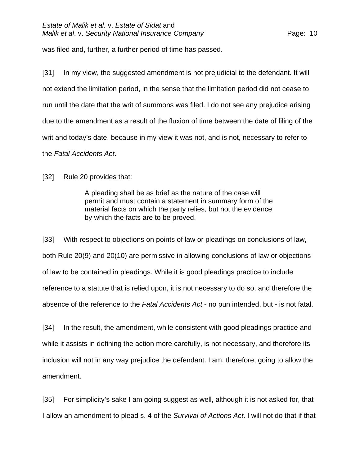was filed and, further, a further period of time has passed.

[31] In my view, the suggested amendment is not prejudicial to the defendant. It will not extend the limitation period, in the sense that the limitation period did not cease to run until the date that the writ of summons was filed. I do not see any prejudice arising due to the amendment as a result of the fluxion of time between the date of filing of the writ and today's date, because in my view it was not, and is not, necessary to refer to the *Fatal Accidents Act*.

[32] Rule 20 provides that:

A pleading shall be as brief as the nature of the case will permit and must contain a statement in summary form of the material facts on which the party relies, but not the evidence by which the facts are to be proved.

[33] With respect to objections on points of law or pleadings on conclusions of law, both Rule 20(9) and 20(10) are permissive in allowing conclusions of law or objections of law to be contained in pleadings. While it is good pleadings practice to include reference to a statute that is relied upon, it is not necessary to do so, and therefore the absence of the reference to the *Fatal Accidents Act* - no pun intended, but - is not fatal.

[34] In the result, the amendment, while consistent with good pleadings practice and while it assists in defining the action more carefully, is not necessary, and therefore its inclusion will not in any way prejudice the defendant. I am, therefore, going to allow the amendment.

[35] For simplicity's sake I am going suggest as well, although it is not asked for, that I allow an amendment to plead s. 4 of the *Survival of Actions Act*. I will not do that if that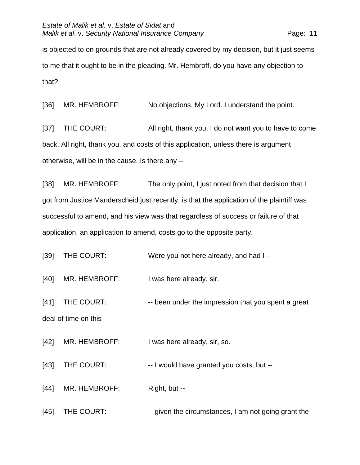is objected to on grounds that are not already covered by my decision, but it just seems to me that it ought to be in the pleading. Mr. Hembroff, do you have any objection to that?

[36] MR. HEMBROFF: No objections, My Lord. I understand the point.

[37] THE COURT: All right, thank you. I do not want you to have to come back. All right, thank you, and costs of this application, unless there is argument otherwise, will be in the cause. Is there any --

[38] MR. HEMBROFF: The only point, I just noted from that decision that I got from Justice Manderscheid just recently, is that the application of the plaintiff was successful to amend, and his view was that regardless of success or failure of that application, an application to amend, costs go to the opposite party.

[39] THE COURT: Were you not here already, and had I--

[40] MR. HEMBROFF: I was here already, sir.

[41] THE COURT: -- been under the impression that you spent a great deal of time on this --

[42] MR. HEMBROFF: I was here already, sir, so.

[43] THE COURT: -- I would have granted you costs, but --

[44] MR. HEMBROFF: Right, but --

[45] THE COURT: -- given the circumstances, I am not going grant the